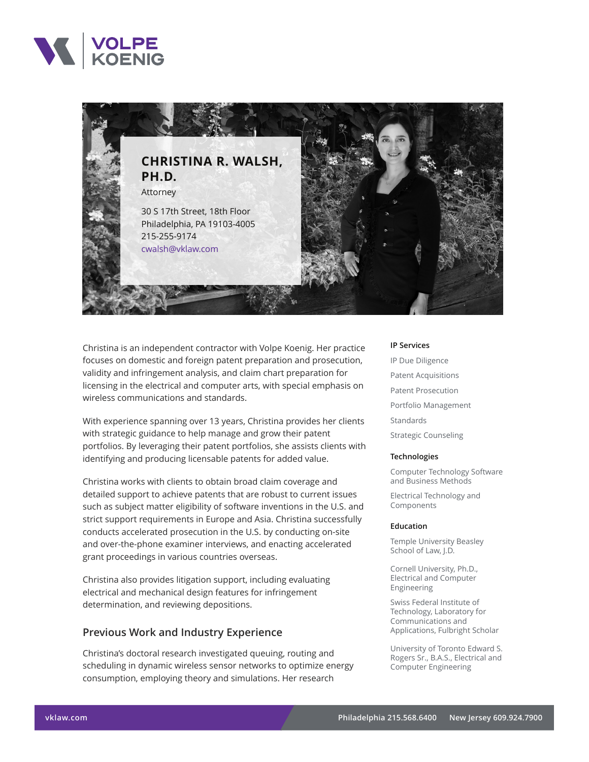



Christina is an independent contractor with Volpe Koenig. Her practice focuses on domestic and foreign patent preparation and prosecution, validity and infringement analysis, and claim chart preparation for licensing in the electrical and computer arts, with special emphasis on wireless communications and standards.

With experience spanning over 13 years, Christina provides her clients with strategic guidance to help manage and grow their patent portfolios. By leveraging their patent portfolios, she assists clients with identifying and producing licensable patents for added value.

Christina works with clients to obtain broad claim coverage and detailed support to achieve patents that are robust to current issues such as subject matter eligibility of software inventions in the U.S. and strict support requirements in Europe and Asia. Christina successfully conducts accelerated prosecution in the U.S. by conducting on-site and over-the-phone examiner interviews, and enacting accelerated grant proceedings in various countries overseas.

Christina also provides litigation support, including evaluating electrical and mechanical design features for infringement determination, and reviewing depositions.

## **Previous Work and Industry Experience**

Christina's doctoral research investigated queuing, routing and scheduling in dynamic wireless sensor networks to optimize energy consumption, employing theory and simulations. Her research

#### **IP Services**

IP Due Diligence Patent Acquisitions Patent Prosecution Portfolio Management Standards Strategic Counseling

#### **Technologies**

Computer Technology Software and Business Methods

Electrical Technology and Components

#### **Education**

Temple University Beasley School of Law, J.D.

Cornell University, Ph.D., Electrical and Computer Engineering

Swiss Federal Institute of Technology, Laboratory for Communications and Applications, Fulbright Scholar

University of Toronto Edward S. Rogers Sr., B.A.S., Electrical and Computer Engineering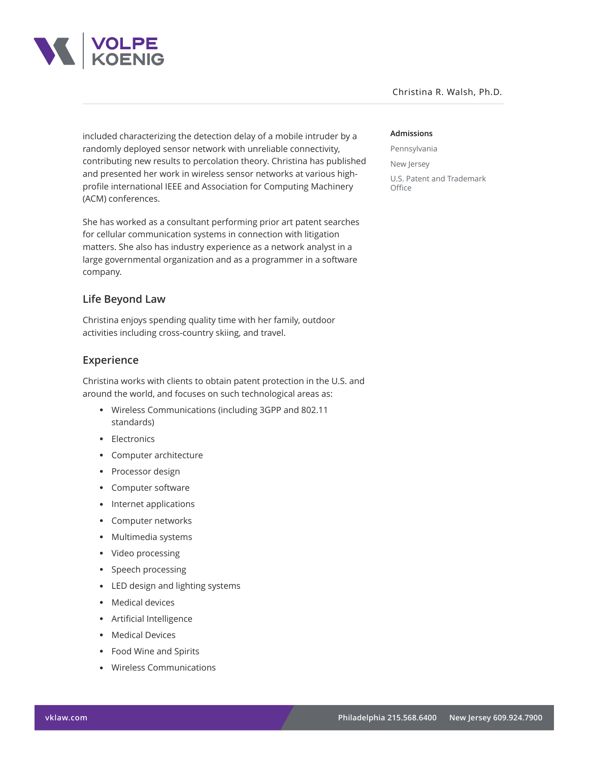

Christina R. Walsh, Ph.D.

included characterizing the detection delay of a mobile intruder by a randomly deployed sensor network with unreliable connectivity, contributing new results to percolation theory. Christina has published and presented her work in wireless sensor networks at various highprofile international IEEE and Association for Computing Machinery (ACM) conferences.

She has worked as a consultant performing prior art patent searches for cellular communication systems in connection with litigation matters. She also has industry experience as a network analyst in a large governmental organization and as a programmer in a software company.

# **Life Beyond Law**

Christina enjoys spending quality time with her family, outdoor activities including cross-country skiing, and travel.

## **Experience**

Christina works with clients to obtain patent protection in the U.S. and around the world, and focuses on such technological areas as:

- Wireless Communications (including 3GPP and 802.11 standards)
- Electronics
- Computer architecture
- Processor design
- Computer software
- Internet applications
- Computer networks
- Multimedia systems
- Video processing
- Speech processing
- LED design and lighting systems
- Medical devices
- Artificial Intelligence
- Medical Devices
- Food Wine and Spirits
- Wireless Communications

### **Admissions**

Pennsylvania New Jersey U.S. Patent and Trademark **Office**